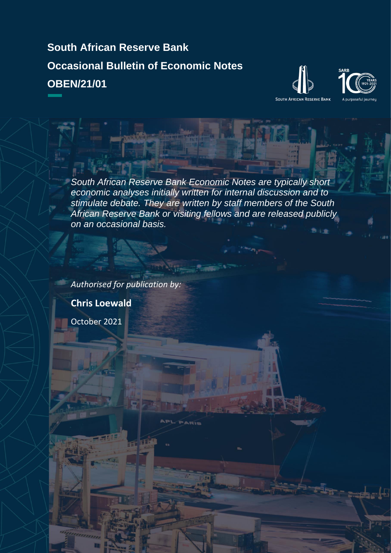**South African Reserve Bank Occasional Bulletin of Economic Notes OBEN/21/01**





*South African Reserve Bank Economic Notes are typically short economic analyses initially written for internal discussion and to stimulate debate. They are written by staff members of the South African Reserve Bank or visiting fellows and are released publicly on an occasional basis.*

*Authorised for publication by:* **Chris Loewald** October 2021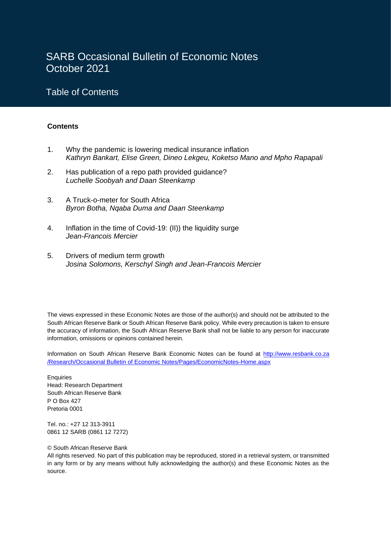# SARB Occasional Bulletin of Economic Notes October 2021

## Table of Contents

#### **Contents**

I

- 1. Why the pandemic is lowering medical insurance inflation *Kathryn Bankart, Elise Green, Dineo Lekgeu, Koketso Mano and Mpho Rapapali*
- 2. Has publication of a repo path provided guidance? *Luchelle Soobyah and Daan Steenkamp*
- 3. A Truck-o-meter for South Africa *Byron Botha, Nqaba Duma and Daan Steenkamp*
- 4. Inflation in the time of Covid-19: (II)) the liquidity surge *Jean-Francois Mercier*
- 5. Drivers of medium term growth *Josina Solomons, Kerschyl Singh and Jean-Francois Mercier*

The views expressed in these Economic Notes are those of the author(s) and should not be attributed to the South African Reserve Bank or South African Reserve Bank policy. While every precaution is taken to ensure the accuracy of information, the South African Reserve Bank shall not be liable to any person for inaccurate information, omissions or opinions contained herein.

Information on South African Reserve Bank Economic Notes can be found at http://www.resbank.co.za /Research/Occasional Bulletin of Economic Notes/Pages/EconomicNotes-Home.aspx

**Enquiries** Head: Research Department South African Reserve Bank P O Box 427 Pretoria 0001

Tel. no.: +27 12 313-3911 0861 12 SARB (0861 12 7272)

#### © South African Reserve Bank

All rights reserved. No part of this publication may be reproduced, stored in a retrieval system, or transmitted in any form or by any means without fully acknowledging the author(s) and these Economic Notes as the source.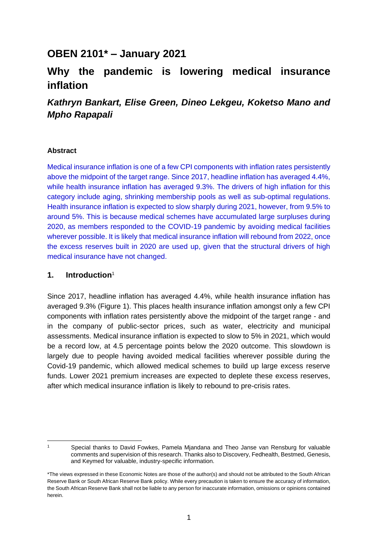# **OBEN 2101\* – January 2021**

# **Why the pandemic is lowering medical insurance inflation**

## *Kathryn Bankart, Elise Green, Dineo Lekgeu, Koketso Mano and Mpho Rapapali*

#### **Abstract**

Medical insurance inflation is one of a few CPI components with inflation rates persistently above the midpoint of the target range. Since 2017, headline inflation has averaged 4.4%, while health insurance inflation has averaged 9.3%. The drivers of high inflation for this category include aging, shrinking membership pools as well as sub-optimal regulations. Health insurance inflation is expected to slow sharply during 2021, however, from 9.5% to around 5%. This is because medical schemes have accumulated large surpluses during 2020, as members responded to the COVID-19 pandemic by avoiding medical facilities wherever possible. It is likely that medical insurance inflation will rebound from 2022, once the excess reserves built in 2020 are used up, given that the structural drivers of high medical insurance have not changed.

#### **1. Introduction**<sup>1</sup>

Since 2017, headline inflation has averaged 4.4%, while health insurance inflation has averaged 9.3% (Figure 1). This places health insurance inflation amongst only a few CPI components with inflation rates persistently above the midpoint of the target range - and in the company of public-sector prices, such as water, electricity and municipal assessments. Medical insurance inflation is expected to slow to 5% in 2021, which would be a record low, at 4.5 percentage points below the 2020 outcome. This slowdown is largely due to people having avoided medical facilities wherever possible during the Covid-19 pandemic, which allowed medical schemes to build up large excess reserve funds. Lower 2021 premium increases are expected to deplete these excess reserves, after which medical insurance inflation is likely to rebound to pre-crisis rates.

1

Special thanks to David Fowkes, Pamela Mjandana and Theo Janse van Rensburg for valuable comments and supervision of this research. Thanks also to Discovery, Fedhealth, Bestmed, Genesis, and Keymed for valuable, industry-specific information.

<sup>\*</sup>The views expressed in these Economic Notes are those of the author(s) and should not be attributed to the South African Reserve Bank or South African Reserve Bank policy. While every precaution is taken to ensure the accuracy of information, the South African Reserve Bank shall not be liable to any person for inaccurate information, omissions or opinions contained herein.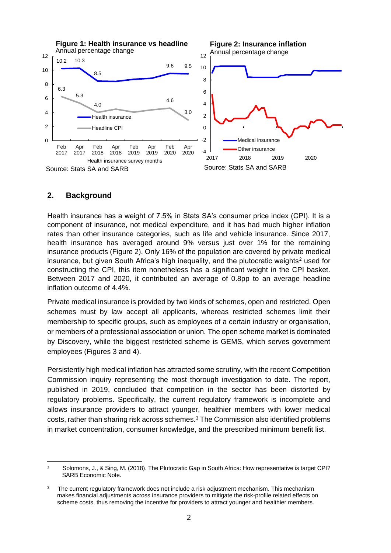

#### **2. Background**

Health insurance has a weight of 7.5% in Stats SA's consumer price index (CPI). It is a component of insurance, not medical expenditure, and it has had much higher inflation rates than other insurance categories, such as life and vehicle insurance. Since 2017, health insurance has averaged around 9% versus just over 1% for the remaining insurance products (Figure 2). Only 16% of the population are covered by private medical insurance, but given South Africa's high inequality, and the plutocratic weights<sup>2</sup> used for constructing the CPI, this item nonetheless has a significant weight in the CPI basket. Between 2017 and 2020, it contributed an average of 0.8pp to an average headline inflation outcome of 4.4%.

Private medical insurance is provided by two kinds of schemes, open and restricted. Open schemes must by law accept all applicants, whereas restricted schemes limit their membership to specific groups, such as employees of a certain industry or organisation, or members of a professional association or union. The open scheme market is dominated by Discovery, while the biggest restricted scheme is GEMS, which serves government employees (Figures 3 and 4).

Persistently high medical inflation has attracted some scrutiny, with the recent Competition Commission inquiry representing the most thorough investigation to date. The report, published in 2019, concluded that competition in the sector has been distorted by regulatory problems. Specifically, the current regulatory framework is incomplete and allows insurance providers to attract younger, healthier members with lower medical costs, rather than sharing risk across schemes.<sup>3</sup> The Commission also identified problems in market concentration, consumer knowledge, and the prescribed minimum benefit list.

<sup>2</sup> Solomons, J., & Sing, M. (2018). The Plutocratic Gap in South Africa: How representative is target CPI? SARB Economic Note.

<sup>3</sup> The current regulatory framework does not include a risk adjustment mechanism. This mechanism makes financial adjustments across insurance providers to mitigate the risk-profile related effects on scheme costs, thus removing the incentive for providers to attract younger and healthier members.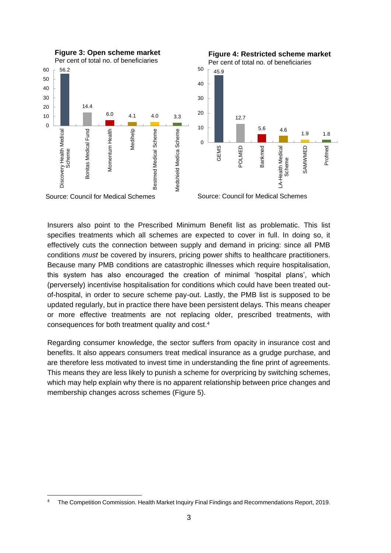

Insurers also point to the Prescribed Minimum Benefit list as problematic. This list specifies treatments which all schemes are expected to cover in full. In doing so, it effectively cuts the connection between supply and demand in pricing: since all PMB conditions *must* be covered by insurers, pricing power shifts to healthcare practitioners. Because many PMB conditions are catastrophic illnesses which require hospitalisation, this system has also encouraged the creation of minimal 'hospital plans', which (perversely) incentivise hospitalisation for conditions which could have been treated outof-hospital, in order to secure scheme pay-out. Lastly, the PMB list is supposed to be updated regularly, but in practice there have been persistent delays. This means cheaper or more effective treatments are not replacing older, prescribed treatments, with consequences for both treatment quality and cost.<sup>4</sup>

Regarding consumer knowledge, the sector suffers from opacity in insurance cost and benefits. It also appears consumers treat medical insurance as a grudge purchase, and are therefore less motivated to invest time in understanding the fine print of agreements. This means they are less likely to punish a scheme for overpricing by switching schemes, which may help explain why there is no apparent relationship between price changes and membership changes across schemes (Figure 5).

<sup>4</sup> The Competition Commission. Health Market Inquiry Final Findings and Recommendations Report, 2019.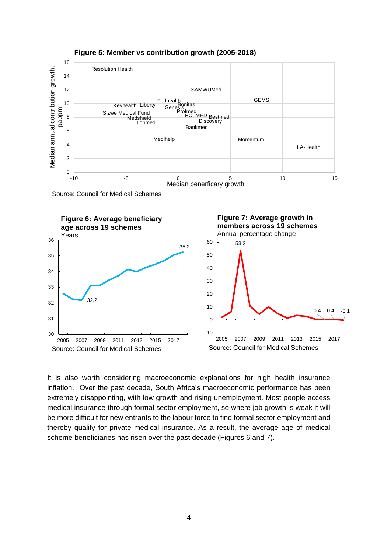

**Figure 5: Member vs contribution growth (2005-2018)**

It is also worth considering macroeconomic explanations for high health insurance inflation. Over the past decade, South Africa's macroeconomic performance has been extremely disappointing, with low growth and rising unemployment. Most people access medical insurance through formal sector employment, so where job growth is weak it will be more difficult for new entrants to the labour force to find formal sector employment and thereby qualify for private medical insurance. As a result, the average age of medical scheme beneficiaries has risen over the past decade (Figures 6 and 7).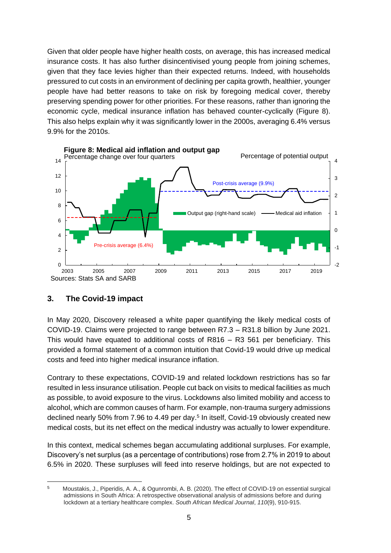Given that older people have higher health costs, on average, this has increased medical insurance costs. It has also further disincentivised young people from joining schemes, given that they face levies higher than their expected returns. Indeed, with households pressured to cut costs in an environment of declining per capita growth, healthier, younger people have had better reasons to take on risk by foregoing medical cover, thereby preserving spending power for other priorities. For these reasons, rather than ignoring the economic cycle, medical insurance inflation has behaved counter-cyclically (Figure 8). This also helps explain why it was significantly lower in the 2000s, averaging 6.4% versus 9.9% for the 2010s.



### **3. The Covid-19 impact**

In May 2020, Discovery released a white paper quantifying the likely medical costs of COVID-19. Claims were projected to range between R7.3 – R31.8 billion by June 2021. This would have equated to additional costs of R816 – R3 561 per beneficiary. This provided a formal statement of a common intuition that Covid-19 would drive up medical costs and feed into higher medical insurance inflation.

Contrary to these expectations, COVID-19 and related lockdown restrictions has so far resulted in less insurance utilisation. People cut back on visits to medical facilities as much as possible, to avoid exposure to the virus. Lockdowns also limited mobility and access to alcohol, which are common causes of harm. For example, non-trauma surgery admissions declined nearly 50% from 7.96 to 4.49 per day.<sup>5</sup> In itself, Covid-19 obviously created new medical costs, but its net effect on the medical industry was actually to lower expenditure.

In this context, medical schemes began accumulating additional surpluses. For example, Discovery's net surplus (as a percentage of contributions) rose from 2.7% in 2019 to about 6.5% in 2020. These surpluses will feed into reserve holdings, but are not expected to

<sup>5</sup>Moustakis, J., Piperidis, A. A., & Ogunrombi, A. B. (2020). The effect of COVID-19 on essential surgical admissions in South Africa: A retrospective observational analysis of admissions before and during lockdown at a tertiary healthcare complex. *South African Medical Journal*, *110*(9), 910-915.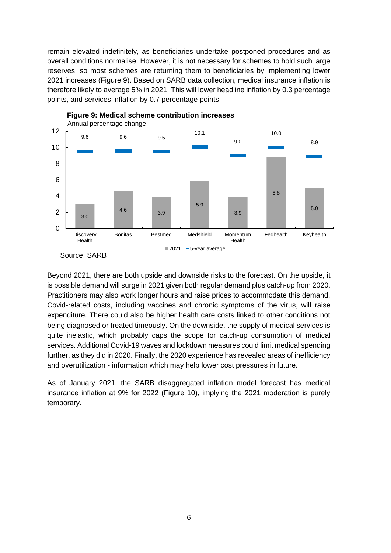remain elevated indefinitely, as beneficiaries undertake postponed procedures and as overall conditions normalise. However, it is not necessary for schemes to hold such large reserves, so most schemes are returning them to beneficiaries by implementing lower 2021 increases (Figure 9). Based on SARB data collection, medical insurance inflation is therefore likely to average 5% in 2021. This will lower headline inflation by 0.3 percentage points, and services inflation by 0.7 percentage points.





Beyond 2021, there are both upside and downside risks to the forecast. On the upside, it is possible demand will surge in 2021 given both regular demand plus catch-up from 2020. Practitioners may also work longer hours and raise prices to accommodate this demand. Covid-related costs, including vaccines and chronic symptoms of the virus, will raise expenditure. There could also be higher health care costs linked to other conditions not being diagnosed or treated timeously. On the downside, the supply of medical services is quite inelastic, which probably caps the scope for catch-up consumption of medical services. Additional Covid-19 waves and lockdown measures could limit medical spending further, as they did in 2020. Finally, the 2020 experience has revealed areas of inefficiency and overutilization - information which may help lower cost pressures in future.

As of January 2021, the SARB disaggregated inflation model forecast has medical insurance inflation at 9% for 2022 (Figure 10), implying the 2021 moderation is purely temporary.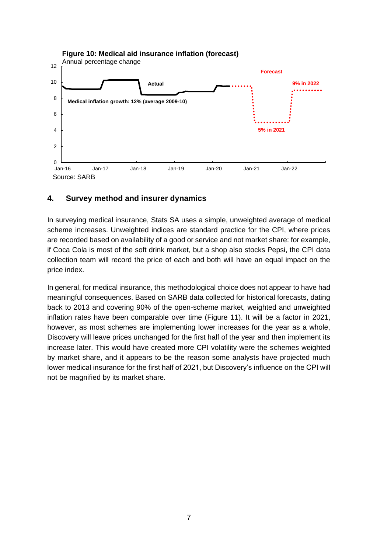

#### **Figure 10: Medical aid insurance inflation (forecast)**

### **4. Survey method and insurer dynamics**

In surveying medical insurance, Stats SA uses a simple, unweighted average of medical scheme increases. Unweighted indices are standard practice for the CPI, where prices are recorded based on availability of a good or service and not market share: for example, if Coca Cola is most of the soft drink market, but a shop also stocks Pepsi, the CPI data collection team will record the price of each and both will have an equal impact on the price index.

In general, for medical insurance, this methodological choice does not appear to have had meaningful consequences. Based on SARB data collected for historical forecasts, dating back to 2013 and covering 90% of the open-scheme market, weighted and unweighted inflation rates have been comparable over time (Figure 11). It will be a factor in 2021, however, as most schemes are implementing lower increases for the year as a whole, Discovery will leave prices unchanged for the first half of the year and then implement its increase later. This would have created more CPI volatility were the schemes weighted by market share, and it appears to be the reason some analysts have projected much lower medical insurance for the first half of 2021, but Discovery's influence on the CPI will not be magnified by its market share.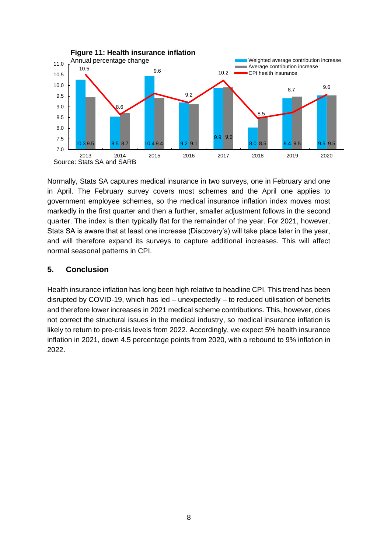

Normally, Stats SA captures medical insurance in two surveys, one in February and one in April. The February survey covers most schemes and the April one applies to government employee schemes, so the medical insurance inflation index moves most markedly in the first quarter and then a further, smaller adjustment follows in the second quarter. The index is then typically flat for the remainder of the year. For 2021, however, Stats SA is aware that at least one increase (Discovery's) will take place later in the year, and will therefore expand its surveys to capture additional increases. This will affect normal seasonal patterns in CPI.

### **5. Conclusion**

Health insurance inflation has long been high relative to headline CPI. This trend has been disrupted by COVID-19, which has led – unexpectedly – to reduced utilisation of benefits and therefore lower increases in 2021 medical scheme contributions. This, however, does not correct the structural issues in the medical industry, so medical insurance inflation is likely to return to pre-crisis levels from 2022. Accordingly, we expect 5% health insurance inflation in 2021, down 4.5 percentage points from 2020, with a rebound to 9% inflation in 2022.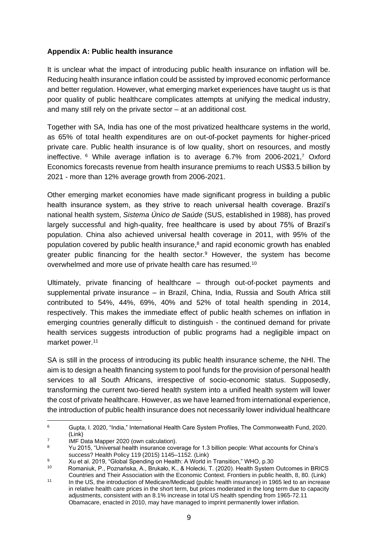#### **Appendix A: Public health insurance**

It is unclear what the impact of introducing public health insurance on inflation will be. Reducing health insurance inflation could be assisted by improved economic performance and better regulation. However, what emerging market experiences have taught us is that poor quality of public healthcare complicates attempts at unifying the medical industry, and many still rely on the private sector – at an additional cost.

Together with SA, India has one of the most privatized healthcare systems in the world, as 65% of total health expenditures are on out-of-pocket payments for higher-priced private care. Public health insurance is of low quality, short on resources, and mostly ineffective. <sup>6</sup> While average inflation is to average 6.7% from 2006-2021,<sup>7</sup> Oxford Economics forecasts revenue from health insurance premiums to reach US\$3.5 billion by 2021 - more than 12% average growth from 2006-2021.

Other emerging market economies have made significant progress in building a public health insurance system, as they strive to reach universal health coverage. Brazil's national health system, *Sistema Único de Saúde* (SUS, established in 1988), has proved largely successful and high-quality, free healthcare is used by about 75% of Brazil's population. China also achieved universal health coverage in 2011, with 95% of the population covered by public health insurance, $8$  and rapid economic growth has enabled greater public financing for the health sector.<sup>9</sup> However, the system has become overwhelmed and more use of private health care has resumed.<sup>10</sup>

Ultimately, private financing of healthcare – through out-of-pocket payments and supplemental private insurance – in Brazil, China, India, Russia and South Africa still contributed to 54%, 44%, 69%, 40% and 52% of total health spending in 2014, respectively. This makes the immediate effect of public health schemes on inflation in emerging countries generally difficult to distinguish - the continued demand for private health services suggests introduction of public programs had a negligible impact on market power.<sup>11</sup>

SA is still in the process of introducing its public health insurance scheme, the NHI. The aim is to design a health financing system to pool funds for the provision of personal health services to all South Africans, irrespective of socio-economic status. Supposedly, transforming the current two-tiered health system into a unified health system will lower the cost of private healthcare. However, as we have learned from international experience, the introduction of public health insurance does not necessarily lower individual healthcare

<sup>6</sup> Gupta, I. 2020, "India," International Health Care System Profiles, The Commonwealth Fund, 2020. [\(Link\)](https://www.commonwealthfund.org/international-health-policy-center/countries/india)

<sup>7</sup> IMF Data Mapper 2020 (own calculation).

<sup>8</sup> Yu 2015, "Universal health insurance coverage for 1.3 billion people: What accounts for China's success? Health Policy 119 (2015) 1145–1152. [\(Link\)](http://dx.doi.org/10.1016/j.healthpol.2015.07.008)

<sup>9</sup> Xu et al. 2019, "Global Spending on Health: A World in Transition," WHO, p.30

<sup>10</sup> Romaniuk, P., Poznańska, A., Brukało, K., & Holecki, T. (2020). Health System Outcomes in BRICS Countries and Their Association with the Economic Context. Frontiers in public health, 8, 80. [\(Link\)](https://doi.org/10.3389/fpubh.2020.00080)

<sup>11</sup>  In the US, the introduction of Medicare/Medicaid (public health insurance) in 1965 led to an increase in relative health care prices in the short term, but prices moderated in the long term due to capacity adjustments, consistent with an 8.1% increase in total US health spending from 1965-72.11 Obamacare, enacted in 2010, may have managed to imprint permanently lower inflation.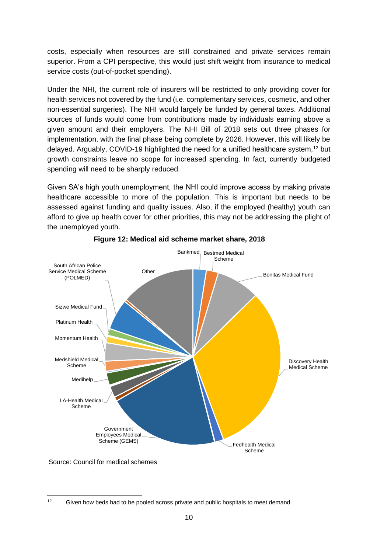costs, especially when resources are still constrained and private services remain superior. From a CPI perspective, this would just shift weight from insurance to medical service costs (out-of-pocket spending).

Under the NHI, the current role of insurers will be restricted to only providing cover for health services not covered by the fund (i.e. complementary services, cosmetic, and other non-essential surgeries). The NHI would largely be funded by general taxes. Additional sources of funds would come from contributions made by individuals earning above a given amount and their employers. The NHI Bill of 2018 sets out three phases for implementation, with the final phase being complete by 2026. However, this will likely be delayed. Arguably, COVID-19 highlighted the need for a unified healthcare system,<sup>12</sup> but growth constraints leave no scope for increased spending. In fact, currently budgeted spending will need to be sharply reduced.

Given SA's high youth unemployment, the NHI could improve access by making private healthcare accessible to more of the population. This is important but needs to be assessed against funding and quality issues. Also, if the employed (healthy) youth can afford to give up health cover for other priorities, this may not be addressing the plight of the unemployed youth.



#### **Figure 12: Medical aid scheme market share, 2018**

Source: Council for medical schemes

<sup>12</sup> Given how beds had to be pooled across private and public hospitals to meet demand.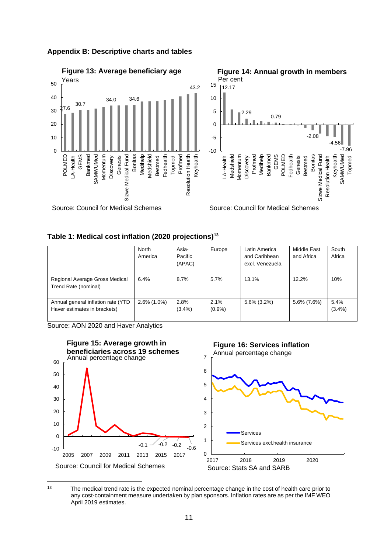

#### **Appendix B: Descriptive charts and tables**

#### **Table 1: Medical cost inflation (2020 projections)<sup>13</sup>**

|                                                                    | North<br>America | Asia-<br>Pacific<br>(APAC) | Europe        | Latin America<br>and Caribbean<br>excl. Venezuela | Middle East<br>and Africa | South<br>Africa |
|--------------------------------------------------------------------|------------------|----------------------------|---------------|---------------------------------------------------|---------------------------|-----------------|
| Regional Average Gross Medical<br>Trend Rate (nominal)             | 6.4%             | 8.7%                       | 5.7%          | 13.1%                                             | 12.2%                     | 10%             |
| Annual general inflation rate (YTD<br>Haver estimates in brackets) | $2.6\%$ (1.0%)   | 2.8%<br>$(3.4\%)$          | 2.1%<br>(0.9% | $5.6\%$ (3.2%)                                    | 5.6% (7.6%)               | 5.4%<br>(3.4%)  |

Source: AON 2020 and Haver Analytics



<sup>13</sup> The medical trend rate is the expected nominal percentage change in the cost of health care prior to any cost-containment measure undertaken by plan sponsors. Inflation rates are as per the IMF WEO April 2019 estimates.